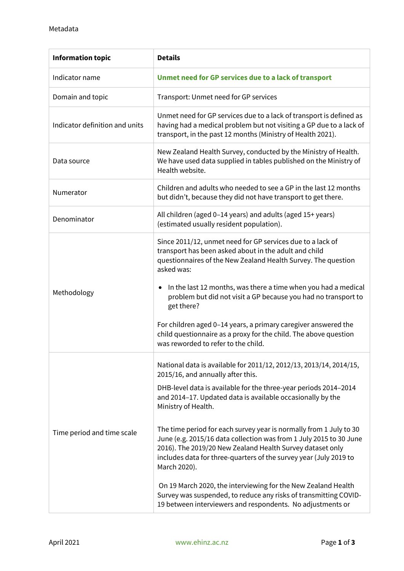| <b>Information topic</b>       | <b>Details</b>                                                                                                                                                                                                                                                                             |
|--------------------------------|--------------------------------------------------------------------------------------------------------------------------------------------------------------------------------------------------------------------------------------------------------------------------------------------|
| Indicator name                 | Unmet need for GP services due to a lack of transport                                                                                                                                                                                                                                      |
| Domain and topic               | Transport: Unmet need for GP services                                                                                                                                                                                                                                                      |
| Indicator definition and units | Unmet need for GP services due to a lack of transport is defined as<br>having had a medical problem but not visiting a GP due to a lack of<br>transport, in the past 12 months (Ministry of Health 2021).                                                                                  |
| Data source                    | New Zealand Health Survey, conducted by the Ministry of Health.<br>We have used data supplied in tables published on the Ministry of<br>Health website.                                                                                                                                    |
| Numerator                      | Children and adults who needed to see a GP in the last 12 months<br>but didn't, because they did not have transport to get there.                                                                                                                                                          |
| Denominator                    | All children (aged 0-14 years) and adults (aged 15+ years)<br>(estimated usually resident population).                                                                                                                                                                                     |
| Methodology                    | Since 2011/12, unmet need for GP services due to a lack of<br>transport has been asked about in the adult and child<br>questionnaires of the New Zealand Health Survey. The question<br>asked was:                                                                                         |
|                                | In the last 12 months, was there a time when you had a medical<br>problem but did not visit a GP because you had no transport to<br>get there?                                                                                                                                             |
|                                | For children aged 0-14 years, a primary caregiver answered the<br>child questionnaire as a proxy for the child. The above question<br>was reworded to refer to the child.                                                                                                                  |
| Time period and time scale     | National data is available for 2011/12, 2012/13, 2013/14, 2014/15,<br>2015/16, and annually after this.                                                                                                                                                                                    |
|                                | DHB-level data is available for the three-year periods 2014-2014<br>and 2014-17. Updated data is available occasionally by the<br>Ministry of Health.                                                                                                                                      |
|                                | The time period for each survey year is normally from 1 July to 30<br>June (e.g. 2015/16 data collection was from 1 July 2015 to 30 June<br>2016). The 2019/20 New Zealand Health Survey dataset only<br>includes data for three-quarters of the survey year (July 2019 to<br>March 2020). |
|                                | On 19 March 2020, the interviewing for the New Zealand Health<br>Survey was suspended, to reduce any risks of transmitting COVID-<br>19 between interviewers and respondents. No adjustments or                                                                                            |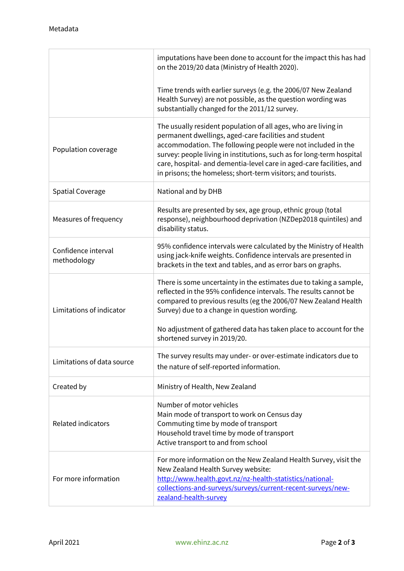|                                    | imputations have been done to account for the impact this has had<br>on the 2019/20 data (Ministry of Health 2020).                                                                                                                                                                                                                                                                                      |
|------------------------------------|----------------------------------------------------------------------------------------------------------------------------------------------------------------------------------------------------------------------------------------------------------------------------------------------------------------------------------------------------------------------------------------------------------|
|                                    | Time trends with earlier surveys (e.g. the 2006/07 New Zealand<br>Health Survey) are not possible, as the question wording was<br>substantially changed for the 2011/12 survey.                                                                                                                                                                                                                          |
| Population coverage                | The usually resident population of all ages, who are living in<br>permanent dwellings, aged-care facilities and student<br>accommodation. The following people were not included in the<br>survey: people living in institutions, such as for long-term hospital<br>care, hospital- and dementia-level care in aged-care facilities, and<br>in prisons; the homeless; short-term visitors; and tourists. |
| <b>Spatial Coverage</b>            | National and by DHB                                                                                                                                                                                                                                                                                                                                                                                      |
| Measures of frequency              | Results are presented by sex, age group, ethnic group (total<br>response), neighbourhood deprivation (NZDep2018 quintiles) and<br>disability status.                                                                                                                                                                                                                                                     |
| Confidence interval<br>methodology | 95% confidence intervals were calculated by the Ministry of Health<br>using jack-knife weights. Confidence intervals are presented in<br>brackets in the text and tables, and as error bars on graphs.                                                                                                                                                                                                   |
| Limitations of indicator           | There is some uncertainty in the estimates due to taking a sample,<br>reflected in the 95% confidence intervals. The results cannot be<br>compared to previous results (eg the 2006/07 New Zealand Health<br>Survey) due to a change in question wording.                                                                                                                                                |
|                                    | No adjustment of gathered data has taken place to account for the<br>shortened survey in 2019/20.                                                                                                                                                                                                                                                                                                        |
| Limitations of data source         | The survey results may under- or over-estimate indicators due to<br>the nature of self-reported information.                                                                                                                                                                                                                                                                                             |
| Created by                         | Ministry of Health, New Zealand                                                                                                                                                                                                                                                                                                                                                                          |
| <b>Related indicators</b>          | Number of motor vehicles<br>Main mode of transport to work on Census day<br>Commuting time by mode of transport<br>Household travel time by mode of transport<br>Active transport to and from school                                                                                                                                                                                                     |
| For more information               | For more information on the New Zealand Health Survey, visit the<br>New Zealand Health Survey website:<br>http://www.health.govt.nz/nz-health-statistics/national-<br>collections-and-surveys/surveys/current-recent-surveys/new-<br>zealand-health-survey                                                                                                                                               |